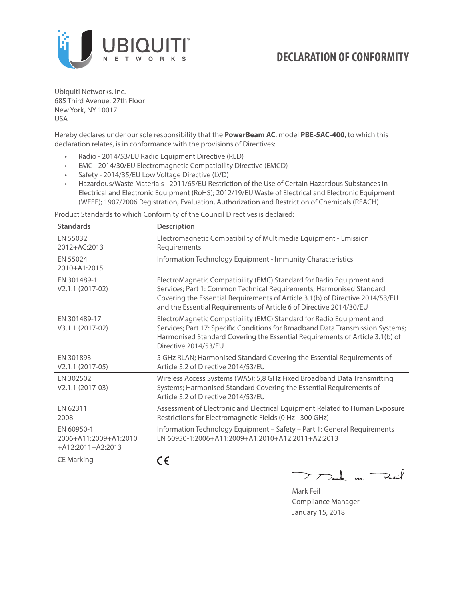

Ubiquiti Networks, Inc. 685 Third Avenue, 27th Floor New York, NY 10017 USA

Hereby declares under our sole responsibility that the **PowerBeam AC**, model **PBE-5AC-400**, to which this declaration relates, is in conformance with the provisions of Directives:

- Radio 2014/53/EU Radio Equipment Directive (RED)
- EMC 2014/30/EU Electromagnetic Compatibility Directive (EMCD)
- Safety 2014/35/EU Low Voltage Directive (LVD)
- Hazardous/Waste Materials 2011/65/EU Restriction of the Use of Certain Hazardous Substances in Electrical and Electronic Equipment (RoHS); 2012/19/EU Waste of Electrical and Electronic Equipment (WEEE); 1907/2006 Registration, Evaluation, Authorization and Restriction of Chemicals (REACH)

Product Standards to which Conformity of the Council Directives is declared:

| <b>Standards</b>                                           | <b>Description</b>                                                                                                                                                                                                                                                                                   |
|------------------------------------------------------------|------------------------------------------------------------------------------------------------------------------------------------------------------------------------------------------------------------------------------------------------------------------------------------------------------|
| EN 55032<br>2012+AC:2013                                   | Electromagnetic Compatibility of Multimedia Equipment - Emission<br>Requirements                                                                                                                                                                                                                     |
| EN 55024<br>2010+A1:2015                                   | Information Technology Equipment - Immunity Characteristics                                                                                                                                                                                                                                          |
| EN 301489-1<br>V2.1.1 (2017-02)                            | ElectroMagnetic Compatibility (EMC) Standard for Radio Equipment and<br>Services; Part 1: Common Technical Requirements; Harmonised Standard<br>Covering the Essential Requirements of Article 3.1(b) of Directive 2014/53/EU<br>and the Essential Requirements of Article 6 of Directive 2014/30/EU |
| EN 301489-17<br>V3.1.1 (2017-02)                           | ElectroMagnetic Compatibility (EMC) Standard for Radio Equipment and<br>Services; Part 17: Specific Conditions for Broadband Data Transmission Systems;<br>Harmonised Standard Covering the Essential Requirements of Article 3.1(b) of<br>Directive 2014/53/EU                                      |
| EN 301893<br>$V2.1.1 (2017-05)$                            | 5 GHz RLAN; Harmonised Standard Covering the Essential Requirements of<br>Article 3.2 of Directive 2014/53/EU                                                                                                                                                                                        |
| EN 302502<br>V2.1.1 (2017-03)                              | Wireless Access Systems (WAS); 5,8 GHz Fixed Broadband Data Transmitting<br>Systems; Harmonised Standard Covering the Essential Requirements of<br>Article 3.2 of Directive 2014/53/EU                                                                                                               |
| EN 62311<br>2008                                           | Assessment of Electronic and Electrical Equipment Related to Human Exposure<br>Restrictions for Electromagnetic Fields (0 Hz - 300 GHz)                                                                                                                                                              |
| EN 60950-1<br>2006+A11:2009+A1:2010<br>$+A12:2011+A2:2013$ | Information Technology Equipment - Safety - Part 1: General Requirements<br>FN 60950-1:2006+A11:2009+A1:2010+A12:2011+A2:2013                                                                                                                                                                        |
| <b>CE Marking</b>                                          | ( E                                                                                                                                                                                                                                                                                                  |

つつ

 $\sum$  de m $\sum$ 

Mark Feil Compliance Manager January 15, 2018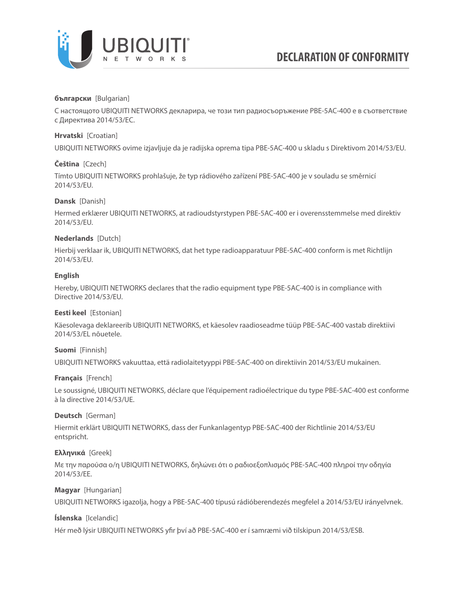

# **български** [Bulgarian]

С настоящото UBIQUITI NETWORKS декларира, че този тип радиосъоръжение PBE-5AC-400 е в съответствие с Директива 2014/53/ЕС.

# **Hrvatski** [Croatian]

UBIQUITI NETWORKS ovime izjavljuje da je radijska oprema tipa PBE-5AC-400 u skladu s Direktivom 2014/53/EU.

# **Čeština** [Czech]

Tímto UBIQUITI NETWORKS prohlašuje, že typ rádiového zařízení PBE-5AC-400 je v souladu se směrnicí 2014/53/EU.

# **Dansk** [Danish]

Hermed erklærer UBIQUITI NETWORKS, at radioudstyrstypen PBE-5AC-400 er i overensstemmelse med direktiv 2014/53/EU.

# **Nederlands** [Dutch]

Hierbij verklaar ik, UBIQUITI NETWORKS, dat het type radioapparatuur PBE-5AC-400 conform is met Richtlijn 2014/53/EU.

### **English**

Hereby, UBIQUITI NETWORKS declares that the radio equipment type PBE-5AC-400 is in compliance with Directive 2014/53/EU.

# **Eesti keel** [Estonian]

Käesolevaga deklareerib UBIQUITI NETWORKS, et käesolev raadioseadme tüüp PBE-5AC-400 vastab direktiivi 2014/53/EL nõuetele.

# **Suomi** [Finnish]

UBIQUITI NETWORKS vakuuttaa, että radiolaitetyyppi PBE-5AC-400 on direktiivin 2014/53/EU mukainen.

# **Français** [French]

Le soussigné, UBIQUITI NETWORKS, déclare que l'équipement radioélectrique du type PBE-5AC-400 est conforme à la directive 2014/53/UE.

# **Deutsch** [German]

Hiermit erklärt UBIQUITI NETWORKS, dass der Funkanlagentyp PBE-5AC-400 der Richtlinie 2014/53/EU entspricht.

# **Ελληνικά** [Greek]

Με την παρούσα ο/η UBIQUITI NETWORKS, δηλώνει ότι ο ραδιοεξοπλισμός PBE-5AC-400 πληροί την οδηγία 2014/53/ΕΕ.

# **Magyar** [Hungarian]

UBIQUITI NETWORKS igazolja, hogy a PBE-5AC-400 típusú rádióberendezés megfelel a 2014/53/EU irányelvnek.

# **Íslenska** [Icelandic]

Hér með lýsir UBIQUITI NETWORKS yfir því að PBE-5AC-400 er í samræmi við tilskipun 2014/53/ESB.